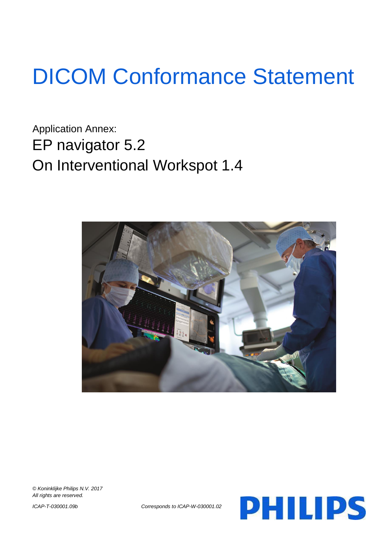# DICOM Conformance Statement

Application Annex: EP navigator 5.2 On Interventional Workspot 1.4



*© Koninklijke Philips N.V. 2017 All rights are reserved.*



*ICAP-T-030001.09b Corresponds to ICAP-W-030001.02*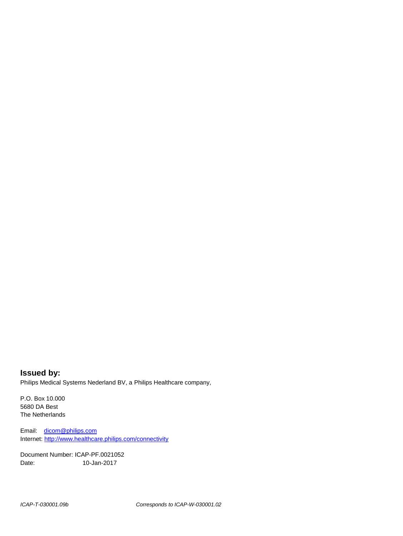**Issued by:** Philips Medical Systems Nederland BV, a Philips Healthcare company,

P.O. Box 10.000 5680 DA Best The Netherlands

Email: [dicom@philips.com](mailto:dicom@philips.com) Internet[: http://www.healthcare.philips.com/connectivity](http://www.healthcare.philips.com/connectivity)

Document Number: ICAP-PF.0021052 Date: 10-Jan-2017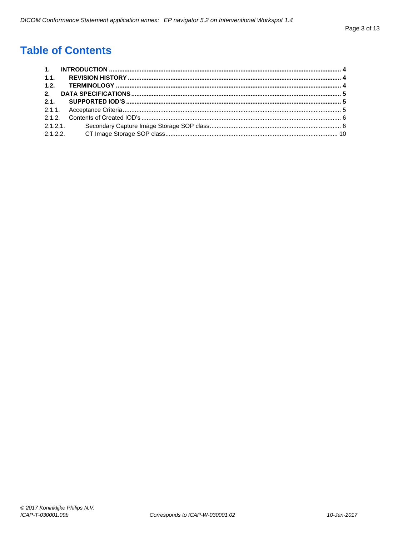# **Table of Contents**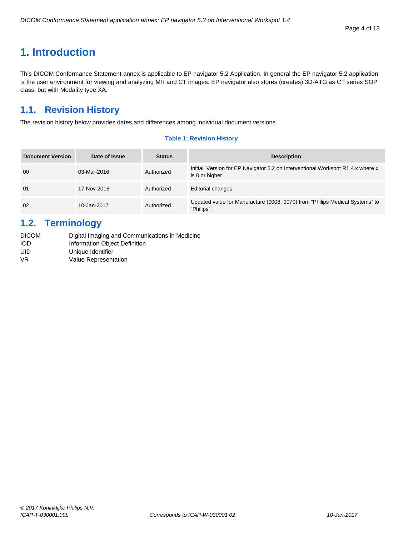# <span id="page-3-0"></span>**1. Introduction**

This DICOM Conformance Statement annex is applicable to EP navigator 5.2 Application. In general the EP navigator 5.2 application is the user environment for viewing and analyzing MR and CT images. EP navigator also stores (creates) 3D-ATG as CT series SOP class, but with Modality type XA.

# <span id="page-3-1"></span>**1.1. Revision History**

The revision history below provides dates and differences among individual document versions.

#### **Table 1: Revision History**

| <b>Document Version</b> | Date of Issue | <b>Status</b> | <b>Description</b>                                                                               |
|-------------------------|---------------|---------------|--------------------------------------------------------------------------------------------------|
| 00                      | 03-Mar-2016   | Authorized    | Initial Version for EP Navigator 5.2 on Interventional Workspot R1.4.x where x<br>is 0 or higher |
| 01                      | 17-Nov-2016   | Authorized    | <b>Editorial changes</b>                                                                         |
| 02                      | 10-Jan-2017   | Authorized    | Updated value for Manufacture (0008, 0070) from "Philips Medical Systems" to<br>"Philips".       |

# <span id="page-3-2"></span>**1.2. Terminology**

| <b>DICOM</b> | Digital Imaging and Communications in Medicine |
|--------------|------------------------------------------------|
| <b>IOD</b>   | Information Object Definition                  |
| UID          | Unique Identifier                              |
| VR           | Value Representation                           |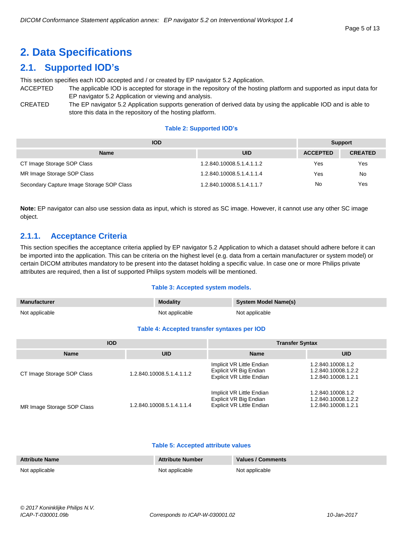# <span id="page-4-0"></span>**2. Data Specifications**

# <span id="page-4-1"></span>**2.1. Supported IOD's**

This section specifies each IOD accepted and / or created by EP navigator 5.2 Application.

- ACCEPTED The applicable IOD is accepted for storage in the repository of the hosting platform and supported as input data for EP navigator 5.2 Application or viewing and analysis.
- CREATED The EP navigator 5.2 Application supports generation of derived data by using the applicable IOD and is able to store this data in the repository of the hosting platform.

#### **Table 2: Supported IOD's**

| <b>IOD</b>                                |                           |                 | <b>Support</b> |
|-------------------------------------------|---------------------------|-----------------|----------------|
| <b>Name</b>                               | UID                       | <b>ACCEPTED</b> | <b>CREATED</b> |
| CT Image Storage SOP Class                | 1.2.840.10008.5.1.4.1.1.2 | Yes             | Yes            |
| MR Image Storage SOP Class                | 1.2.840.10008.5.1.4.1.1.4 | Yes             | No             |
| Secondary Capture Image Storage SOP Class | 1.2.840.10008.5.1.4.1.1.7 | No              | Yes            |

**Note:** EP navigator can also use session data as input, which is stored as SC image. However, it cannot use any other SC image object.

# <span id="page-4-2"></span>**2.1.1. Acceptance Criteria**

This section specifies the acceptance criteria applied by EP navigator 5.2 Application to which a dataset should adhere before it can be imported into the application. This can be criteria on the highest level (e.g. data from a certain manufacturer or system model) or certain DICOM attributes mandatory to be present into the dataset holding a specific value. In case one or more Philips private attributes are required, then a list of supported Philips system models will be mentioned.

### **Table 3: Accepted system models.**

| Manufacturer   | <b>Modality</b> | System Model Name(s) |
|----------------|-----------------|----------------------|
| Not applicable | Not applicable  | Not applicable       |

### **Table 4: Accepted transfer syntaxes per IOD**

| <b>IOD</b>                 |                           | <b>Transfer Syntax</b>                                                                  |                                                                 |  |  |
|----------------------------|---------------------------|-----------------------------------------------------------------------------------------|-----------------------------------------------------------------|--|--|
| <b>Name</b>                | <b>UID</b>                | <b>Name</b>                                                                             | <b>UID</b>                                                      |  |  |
| CT Image Storage SOP Class | 1.2.840.10008.5.1.4.1.1.2 | Implicit VR Little Endian<br>Explicit VR Big Endian<br><b>Explicit VR Little Endian</b> | 1.2.840.10008.1.2<br>1.2.840.10008.1.2.2<br>1.2.840.10008.1.2.1 |  |  |
| MR Image Storage SOP Class | 1.2.840.10008.5.1.4.1.1.4 | Implicit VR Little Endian<br>Explicit VR Big Endian<br><b>Explicit VR Little Endian</b> | 1.2.840.10008.1.2<br>1.2.840.10008.1.2.2<br>1.2.840.10008.1.2.1 |  |  |

#### **Table 5: Accepted attribute values**

| <b>Attribute Name</b> | <b>Attribute Number</b> | Values / Comments |
|-----------------------|-------------------------|-------------------|
| Not applicable        | Not applicable          | Not applicable    |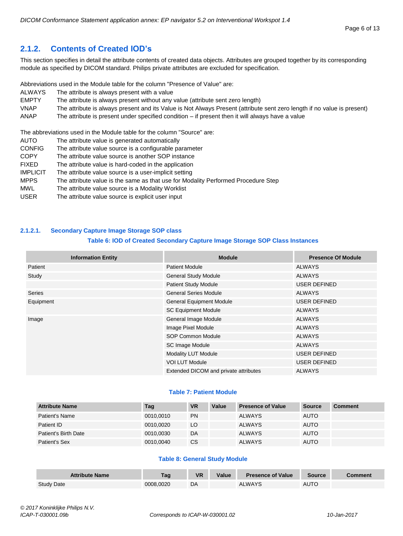# <span id="page-5-0"></span>**2.1.2. Contents of Created IOD's**

This section specifies in detail the attribute contents of created data objects. Attributes are grouped together by its corresponding module as specified by DICOM standard. Philips private attributes are excluded for specification.

Abbreviations used in the Module table for the column "Presence of Value" are:

- ALWAYS The attribute is always present with a value
- EMPTY The attribute is always present without any value (attribute sent zero length)
- VNAP The attribute is always present and its Value is Not Always Present (attribute sent zero length if no value is present)
- ANAP The attribute is present under specified condition if present then it will always have a value

The abbreviations used in the Module table for the column "Source" are:

- AUTO The attribute value is generated automatically CONFIG The attribute value source is a configurable parameter COPY The attribute value source is another SOP instance FIXED The attribute value is hard-coded in the application IMPLICIT The attribute value source is a user-implicit setting MPPS The attribute value is the same as that use for Modality Performed Procedure Step MWL The attribute value source is a Modality Worklist
- USER The attribute value source is explicit user input

## <span id="page-5-1"></span>**2.1.2.1. Secondary Capture Image Storage SOP class**

#### **Table 6: IOD of Created Secondary Capture Image Storage SOP Class Instances**

| <b>Information Entity</b> | <b>Module</b>                         | <b>Presence Of Module</b> |
|---------------------------|---------------------------------------|---------------------------|
| Patient                   | <b>Patient Module</b>                 | <b>ALWAYS</b>             |
| Study                     | <b>General Study Module</b>           | ALWAYS                    |
|                           | <b>Patient Study Module</b>           | <b>USER DEFINED</b>       |
| <b>Series</b>             | <b>General Series Module</b>          | ALWAYS                    |
| Equipment                 | <b>General Equipment Module</b>       | <b>USER DEFINED</b>       |
|                           | <b>SC Equipment Module</b>            | <b>ALWAYS</b>             |
| Image                     | General Image Module                  | <b>ALWAYS</b>             |
|                           | Image Pixel Module                    | ALWAYS                    |
|                           | SOP Common Module                     | ALWAYS                    |
|                           | <b>SC Image Module</b>                | ALWAYS                    |
|                           | Modality LUT Module                   | <b>USER DEFINED</b>       |
|                           | VOI LUT Module                        | <b>USER DEFINED</b>       |
|                           | Extended DICOM and private attributes | <b>ALWAYS</b>             |

#### **Table 7: Patient Module**

| <b>Attribute Name</b> | Tag       | <b>VR</b> | Value | <b>Presence of Value</b> | <b>Source</b> | <b>Comment</b> |
|-----------------------|-----------|-----------|-------|--------------------------|---------------|----------------|
| Patient's Name        | 0010,0010 | <b>PN</b> |       | <b>ALWAYS</b>            | <b>AUTO</b>   |                |
| Patient ID            | 0010.0020 | LO        |       | <b>ALWAYS</b>            | <b>AUTO</b>   |                |
| Patient's Birth Date  | 0010.0030 | DA        |       | ALWAYS                   | <b>AUTO</b>   |                |
| Patient's Sex         | 0010,0040 | <b>CS</b> |       | <b>ALWAYS</b>            | <b>AUTO</b>   |                |

#### **Table 8: General Study Module**

| <b>Attribute Name</b> | Tag       | <b>VR</b> | Value | <b>Presence of Value</b> | <b>Source</b> |  |
|-----------------------|-----------|-----------|-------|--------------------------|---------------|--|
| <b>Study Date</b>     | 0008.0020 | DA        |       | <b>ALWAYS</b>            | <b>AUTC</b>   |  |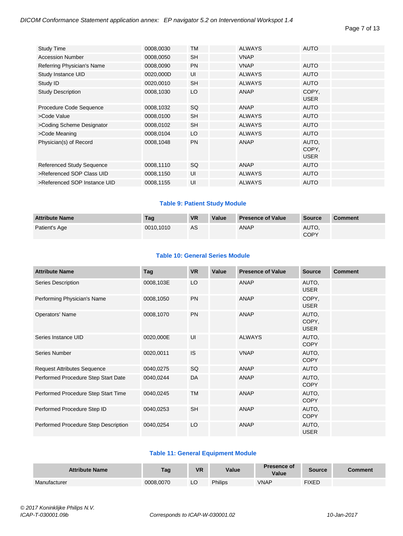#### Page 7 of 13

| <b>Study Time</b>                | 0008,0030 | TM        | <b>ALWAYS</b> | <b>AUTO</b>                   |
|----------------------------------|-----------|-----------|---------------|-------------------------------|
| <b>Accession Number</b>          | 0008,0050 | <b>SH</b> | <b>VNAP</b>   |                               |
| Referring Physician's Name       | 0008,0090 | <b>PN</b> | <b>VNAP</b>   | <b>AUTO</b>                   |
| Study Instance UID               | 0020,000D | UI        | <b>ALWAYS</b> | <b>AUTO</b>                   |
| Study ID                         | 0020,0010 | <b>SH</b> | <b>ALWAYS</b> | <b>AUTO</b>                   |
| <b>Study Description</b>         | 0008,1030 | LO        | ANAP          | COPY,<br><b>USER</b>          |
| Procedure Code Sequence          | 0008,1032 | SQ        | ANAP          | <b>AUTO</b>                   |
| >Code Value                      | 0008,0100 | <b>SH</b> | <b>ALWAYS</b> | <b>AUTO</b>                   |
| >Coding Scheme Designator        | 0008,0102 | <b>SH</b> | <b>ALWAYS</b> | <b>AUTO</b>                   |
| >Code Meaning                    | 0008,0104 | LO        | <b>ALWAYS</b> | <b>AUTO</b>                   |
| Physician(s) of Record           | 0008,1048 | <b>PN</b> | ANAP          | AUTO.<br>COPY.<br><b>USER</b> |
| <b>Referenced Study Sequence</b> | 0008,1110 | SQ        | ANAP          | AUTO                          |
| >Referenced SOP Class UID        | 0008,1150 | UI        | <b>ALWAYS</b> | AUTO                          |
| >Referenced SOP Instance UID     | 0008,1155 | UI        | <b>ALWAYS</b> | AUTO                          |
|                                  |           |           |               |                               |

# **Table 9: Patient Study Module**

| <b>Attribute Name</b> | Tag       | <b>VR</b> | Value | <b>Presence of Value</b> | Source               | <b>Comment</b> |
|-----------------------|-----------|-----------|-------|--------------------------|----------------------|----------------|
| Patient's Age         | 0010.1010 | AS        |       | ANAP                     | AUTO.<br><b>COPY</b> |                |

#### **Table 10: General Series Module**

| <b>Attribute Name</b>                | Tag       | <b>VR</b> | Value | <b>Presence of Value</b> | <b>Source</b>                 | <b>Comment</b> |
|--------------------------------------|-----------|-----------|-------|--------------------------|-------------------------------|----------------|
| Series Description                   | 0008,103E | LO        |       | <b>ANAP</b>              | AUTO,<br><b>USER</b>          |                |
| Performing Physician's Name          | 0008,1050 | <b>PN</b> |       | <b>ANAP</b>              | COPY.<br><b>USER</b>          |                |
| Operators' Name                      | 0008,1070 | <b>PN</b> |       | <b>ANAP</b>              | AUTO,<br>COPY.<br><b>USER</b> |                |
| Series Instance UID                  | 0020,000E | UI        |       | <b>ALWAYS</b>            | AUTO.<br><b>COPY</b>          |                |
| Series Number                        | 0020,0011 | <b>IS</b> |       | <b>VNAP</b>              | AUTO.<br><b>COPY</b>          |                |
| <b>Request Attributes Sequence</b>   | 0040,0275 | SQ        |       | <b>ANAP</b>              | <b>AUTO</b>                   |                |
| Performed Procedure Step Start Date  | 0040,0244 | DA        |       | <b>ANAP</b>              | AUTO.<br><b>COPY</b>          |                |
| Performed Procedure Step Start Time  | 0040,0245 | <b>TM</b> |       | <b>ANAP</b>              | AUTO.<br><b>COPY</b>          |                |
| Performed Procedure Step ID          | 0040,0253 | <b>SH</b> |       | <b>ANAP</b>              | AUTO.<br><b>COPY</b>          |                |
| Performed Procedure Step Description | 0040,0254 | LO        |       | <b>ANAP</b>              | AUTO.<br><b>USER</b>          |                |

# **Table 11: General Equipment Module**

| <b>Attribute Name</b> | Tag       | <b>VR</b> | Value   | <b>Presence of</b><br>Value | <b>Source</b> | <b>Comment</b> |
|-----------------------|-----------|-----------|---------|-----------------------------|---------------|----------------|
| Manufacturer          | 0008.0070 | LC        | Philips | <b>VNAP</b>                 | <b>FIXED</b>  |                |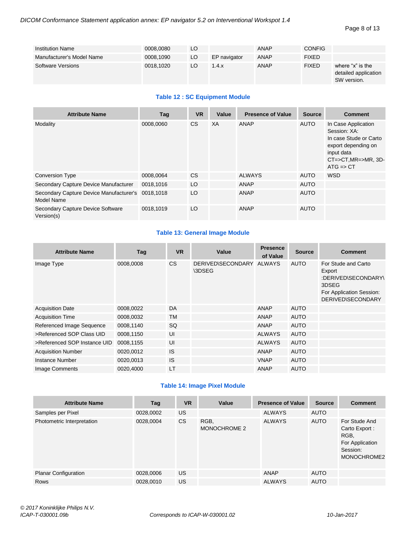#### Page 8 of 13

| <b>Institution Name</b>   | 0008,0080 | LO |              | ANAP | <b>CONFIG</b> |                                                         |
|---------------------------|-----------|----|--------------|------|---------------|---------------------------------------------------------|
| Manufacturer's Model Name | 0008,1090 | LO | EP navigator | ANAP | <b>FIXED</b>  |                                                         |
| <b>Software Versions</b>  | 0018,1020 | LO | 1.4.x        | ANAP | <b>FIXED</b>  | where "x" is the<br>detailed application<br>SW version. |

# **Table 12 : SC Equipment Module**

| <b>Attribute Name</b>                                           | Tag       | <b>VR</b> | Value | <b>Presence of Value</b> | <b>Source</b> | <b>Comment</b>                                                                                                                                             |
|-----------------------------------------------------------------|-----------|-----------|-------|--------------------------|---------------|------------------------------------------------------------------------------------------------------------------------------------------------------------|
| Modality                                                        | 0008,0060 | CS.       | XA    | <b>ANAP</b>              | <b>AUTO</b>   | In Case Application<br>Session: XA:<br>In case Stude or Carto<br>export depending on<br>input data<br>$CT = > CT, MR = > MR, 3D -$<br>$ATG \Rightarrow CT$ |
| <b>Conversion Type</b>                                          | 0008.0064 | CS.       |       | <b>ALWAYS</b>            | <b>AUTO</b>   | <b>WSD</b>                                                                                                                                                 |
| Secondary Capture Device Manufacturer                           | 0018,1016 | LO        |       | ANAP                     | <b>AUTO</b>   |                                                                                                                                                            |
| Secondary Capture Device Manufacturer's 0018,1018<br>Model Name |           | LO        |       | <b>ANAP</b>              | <b>AUTO</b>   |                                                                                                                                                            |
| Secondary Capture Device Software<br>Version(s)                 | 0018.1019 | LO        |       | ANAP                     | <b>AUTO</b>   |                                                                                                                                                            |

# **Table 13: General Image Module**

| <b>Attribute Name</b>        | Tag       | <b>VR</b> | Value                              | <b>Presence</b><br>of Value | <b>Source</b> | <b>Comment</b>                                                                                                        |
|------------------------------|-----------|-----------|------------------------------------|-----------------------------|---------------|-----------------------------------------------------------------------------------------------------------------------|
| Image Type                   | 0008,0008 | <b>CS</b> | DERIVED\SECONDARY ALWAYS<br>\3DSEG |                             | <b>AUTO</b>   | For Stude and Carto<br>Export<br>:DERIVED\SECONDARY\<br>3DSEG<br>For Application Session:<br><b>DERIVED\SECONDARY</b> |
| <b>Acquisition Date</b>      | 0008,0022 | DA        |                                    | <b>ANAP</b>                 | <b>AUTO</b>   |                                                                                                                       |
| <b>Acquisition Time</b>      | 0008,0032 | <b>TM</b> |                                    | <b>ANAP</b>                 | <b>AUTO</b>   |                                                                                                                       |
| Referenced Image Sequence    | 0008,1140 | SQ        |                                    | <b>ANAP</b>                 | <b>AUTO</b>   |                                                                                                                       |
| >Referenced SOP Class UID    | 0008,1150 | UI        |                                    | <b>ALWAYS</b>               | <b>AUTO</b>   |                                                                                                                       |
| >Referenced SOP Instance UID | 0008,1155 | UI        |                                    | <b>ALWAYS</b>               | <b>AUTO</b>   |                                                                                                                       |
| <b>Acquisition Number</b>    | 0020,0012 | <b>IS</b> |                                    | ANAP                        | <b>AUTO</b>   |                                                                                                                       |
| Instance Number              | 0020,0013 | <b>IS</b> |                                    | <b>VNAP</b>                 | <b>AUTO</b>   |                                                                                                                       |
| Image Comments               | 0020,4000 | <b>LT</b> |                                    | ANAP                        | <b>AUTO</b>   |                                                                                                                       |

# **Table 14: Image Pixel Module**

| <b>Attribute Name</b>       | Tag       | <b>VR</b> | Value                | <b>Presence of Value</b> | <b>Source</b> | <b>Comment</b>                                                                       |
|-----------------------------|-----------|-----------|----------------------|--------------------------|---------------|--------------------------------------------------------------------------------------|
| Samples per Pixel           | 0028,0002 | US.       |                      | <b>ALWAYS</b>            | AUTO          |                                                                                      |
| Photometric Interpretation  | 0028,0004 | <b>CS</b> | RGB,<br>MONOCHROME 2 | <b>ALWAYS</b>            | <b>AUTO</b>   | For Stude And<br>Carto Export:<br>RGB,<br>For Application<br>Session:<br>MONOCHROME2 |
| <b>Planar Configuration</b> | 0028,0006 | US.       |                      | ANAP                     | <b>AUTO</b>   |                                                                                      |
| Rows                        | 0028,0010 | US.       |                      | <b>ALWAYS</b>            | <b>AUTO</b>   |                                                                                      |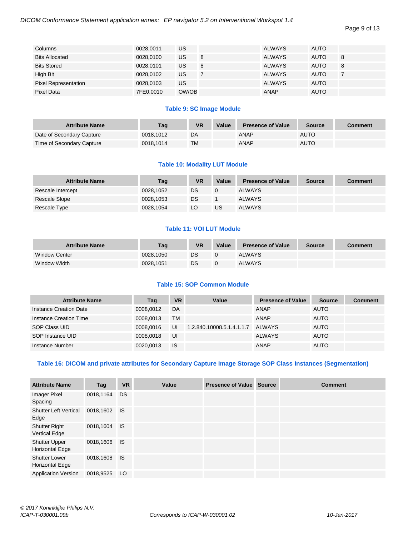#### Page 9 of 13

| Columns                     | 0028.0011 | US    |    | <b>ALWAYS</b> | <b>AUTO</b> |   |
|-----------------------------|-----------|-------|----|---------------|-------------|---|
| <b>Bits Allocated</b>       | 0028,0100 | US.   | -8 | <b>ALWAYS</b> | <b>AUTO</b> | 8 |
| <b>Bits Stored</b>          | 0028,0101 | US.   | 8  | <b>ALWAYS</b> | <b>AUTO</b> | 8 |
| High Bit                    | 0028,0102 | US.   |    | <b>ALWAYS</b> | <b>AUTO</b> |   |
| <b>Pixel Representation</b> | 0028,0103 | US.   |    | <b>ALWAYS</b> | <b>AUTO</b> |   |
| Pixel Data                  | 7FE0,0010 | OW/OB |    | <b>ANAP</b>   | <b>AUTO</b> |   |

#### **Table 9: SC Image Module**

| <b>Attribute Name</b>     | Tag       | VR        | Value | <b>Presence of Value</b> | <b>Source</b> | Comment |
|---------------------------|-----------|-----------|-------|--------------------------|---------------|---------|
| Date of Secondary Capture | 0018.1012 | DA        |       | ANAP                     | <b>AUTO</b>   |         |
| Time of Secondary Capture | 0018.1014 | <b>TM</b> |       | ANAP                     | <b>AUTO</b>   |         |

### **Table 10: Modality LUT Module**

| <b>Attribute Name</b> | <b>Tag</b> | <b>VR</b> | Value | <b>Presence of Value</b> | <b>Source</b> | <b>Comment</b> |
|-----------------------|------------|-----------|-------|--------------------------|---------------|----------------|
| Rescale Intercept     | 0028,1052  | DS        |       | <b>ALWAYS</b>            |               |                |
| Rescale Slope         | 0028,1053  | DS        |       | <b>ALWAYS</b>            |               |                |
| Rescale Type          | 0028,1054  | LO        | US    | <b>ALWAYS</b>            |               |                |

# **Table 11: VOI LUT Module**

| <b>Attribute Name</b> | Tag       | VR | Value | <b>Presence of Value</b> | <b>Source</b> | Comment |
|-----------------------|-----------|----|-------|--------------------------|---------------|---------|
| <b>Window Center</b>  | 0028.1050 | DS |       | <b>ALWAYS</b>            |               |         |
| Window Width          | 0028.1051 | DS |       | <b>ALWAYS</b>            |               |         |

#### **Table 15: SOP Common Module**

| <b>Attribute Name</b>  | Tag       | <b>VR</b> | Value                     | <b>Presence of Value</b> | <b>Source</b> | <b>Comment</b> |
|------------------------|-----------|-----------|---------------------------|--------------------------|---------------|----------------|
| Instance Creation Date | 0008.0012 | DA        |                           | <b>ANAP</b>              | <b>AUTO</b>   |                |
| Instance Creation Time | 0008.0013 | TM        |                           | ANAP                     | <b>AUTO</b>   |                |
| SOP Class UID          | 0008.0016 | UI        | 1.2.840.10008.5.1.4.1.1.7 | ALWAYS                   | <b>AUTO</b>   |                |
| SOP Instance UID       | 0008.0018 | UI        |                           | <b>ALWAYS</b>            | <b>AUTO</b>   |                |
| Instance Number        | 0020.0013 | <b>IS</b> |                           | <b>ANAP</b>              | <b>AUTO</b>   |                |

# **Table 16: DICOM and private attributes for Secondary Capture Image Storage SOP Class Instances (Segmentation)**

| <b>Attribute Name</b>                        | Tag          | <b>VR</b> | Value | <b>Presence of Value Source</b> | <b>Comment</b> |
|----------------------------------------------|--------------|-----------|-------|---------------------------------|----------------|
| Imager Pixel<br>Spacing                      | 0018,1164    | DS.       |       |                                 |                |
| <b>Shutter Left Vertical</b><br>Edge         | 0018,1602 IS |           |       |                                 |                |
| <b>Shutter Right</b><br><b>Vertical Edge</b> | 0018,1604 IS |           |       |                                 |                |
| <b>Shutter Upper</b><br>Horizontal Edge      | 0018,1606    | - IS      |       |                                 |                |
| <b>Shutter Lower</b><br>Horizontal Edge      | 0018,1608    | IS.       |       |                                 |                |
| <b>Application Version</b>                   | 0018,9525    | LO.       |       |                                 |                |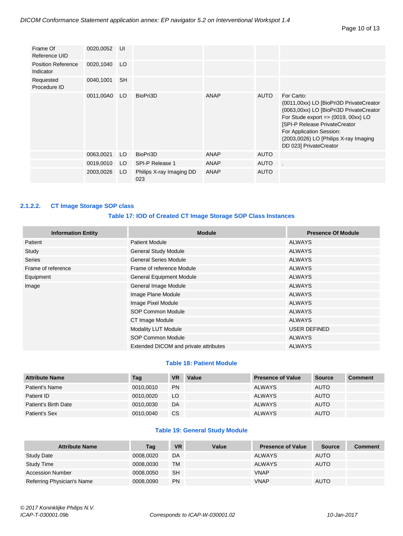| Frame Of<br>Reference UID              | 0020,0052 UI |           |                                 |      |             |                                                                                                                                                                                                                                                                                    |
|----------------------------------------|--------------|-----------|---------------------------------|------|-------------|------------------------------------------------------------------------------------------------------------------------------------------------------------------------------------------------------------------------------------------------------------------------------------|
| <b>Position Reference</b><br>Indicator | 0020,1040    | LO.       |                                 |      |             |                                                                                                                                                                                                                                                                                    |
| Requested<br>Procedure ID              | 0040,1001    | <b>SH</b> |                                 |      |             |                                                                                                                                                                                                                                                                                    |
|                                        | 0011,00A0    | LO.       | BioPri3D                        | ANAP | <b>AUTO</b> | For Carto:<br>(0011,00xx) LO [BioPri3D PrivateCreator<br>(0063,00xx) LO [BioPri3D PrivateCreator<br>For Stude export $\Rightarrow$ (0019, 00xx) LO<br>[SPI-P Release PrivateCreator<br>For Application Session:<br>(2003,0026) LO [Philips X-ray Imaging<br>DD 023] PrivateCreator |
|                                        | 0063,0021    | LO        | BioPri3D                        | ANAP | AUTO        |                                                                                                                                                                                                                                                                                    |
|                                        | 0019,0010    | LO.       | SPI-P Release 1                 | ANAP | AUTO        |                                                                                                                                                                                                                                                                                    |
|                                        | 2003,0026    | LO.       | Philips X-ray Imaging DD<br>023 | ANAP | <b>AUTO</b> |                                                                                                                                                                                                                                                                                    |

# <span id="page-9-0"></span>**2.1.2.2. CT Image Storage SOP class**

# **Table 17: IOD of Created CT Image Storage SOP Class Instances**

| <b>Information Entity</b> | <b>Module</b>                         | <b>Presence Of Module</b> |
|---------------------------|---------------------------------------|---------------------------|
| Patient                   | <b>Patient Module</b>                 | <b>ALWAYS</b>             |
| Study                     | <b>General Study Module</b>           | <b>ALWAYS</b>             |
| <b>Series</b>             | <b>General Series Module</b>          | <b>ALWAYS</b>             |
| Frame of reference        | Frame of reference Module             | <b>ALWAYS</b>             |
| Equipment                 | <b>General Equipment Module</b>       | <b>ALWAYS</b>             |
| Image                     | General Image Module                  | <b>ALWAYS</b>             |
|                           | Image Plane Module                    | <b>ALWAYS</b>             |
|                           | Image Pixel Module                    | <b>ALWAYS</b>             |
|                           | SOP Common Module                     | <b>ALWAYS</b>             |
|                           | CT Image Module                       | ALWAYS                    |
|                           | Modality LUT Module                   | <b>USER DEFINED</b>       |
|                           | <b>SOP Common Module</b>              | ALWAYS                    |
|                           | Extended DICOM and private attributes | <b>ALWAYS</b>             |

#### **Table 18: Patient Module**

| <b>Attribute Name</b> | Tag       | <b>VR</b> | Value | <b>Presence of Value</b> | <b>Source</b> | <b>Comment</b> |
|-----------------------|-----------|-----------|-------|--------------------------|---------------|----------------|
| Patient's Name        | 0010.0010 | <b>PN</b> |       | ALWAYS                   | <b>AUTO</b>   |                |
| Patient ID            | 0010.0020 | LO        |       | <b>ALWAYS</b>            | <b>AUTO</b>   |                |
| Patient's Birth Date  | 0010.0030 | DA        |       | <b>ALWAYS</b>            | <b>AUTO</b>   |                |
| Patient's Sex         | 0010.0040 | CS.       |       | <b>ALWAYS</b>            | <b>AUTO</b>   |                |

# **Table 19: General Study Module**

| <b>Attribute Name</b>      | Tag       | <b>VR</b> | Value | <b>Presence of Value</b> | <b>Source</b> | <b>Comment</b> |
|----------------------------|-----------|-----------|-------|--------------------------|---------------|----------------|
| <b>Study Date</b>          | 0008.0020 | DA        |       | <b>ALWAYS</b>            | <b>AUTO</b>   |                |
| <b>Study Time</b>          | 0008.0030 | <b>TM</b> |       | <b>ALWAYS</b>            | <b>AUTO</b>   |                |
| <b>Accession Number</b>    | 0008,0050 | <b>SH</b> |       | <b>VNAP</b>              |               |                |
| Referring Physician's Name | 0008,0090 | <b>PN</b> |       | <b>VNAP</b>              | <b>AUTO</b>   |                |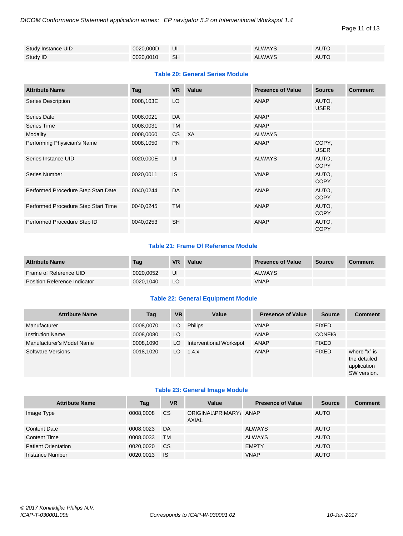Page 11 of 13

| Study Instance UID | 0020.000D | UI        | <b>ALWAYS</b> | <b>AUTO</b> |
|--------------------|-----------|-----------|---------------|-------------|
| Study ID           | 0020,0010 | <b>SH</b> | <b>ALWAYS</b> | <b>AUTO</b> |

#### **Table 20: General Series Module**

| <b>Attribute Name</b>               | Tag       | <b>VR</b> | Value | <b>Presence of Value</b> | <b>Source</b>        | <b>Comment</b> |
|-------------------------------------|-----------|-----------|-------|--------------------------|----------------------|----------------|
| Series Description                  | 0008,103E | LO        |       | <b>ANAP</b>              | AUTO,<br><b>USER</b> |                |
| Series Date                         | 0008,0021 | DA        |       | <b>ANAP</b>              |                      |                |
| Series Time                         | 0008,0031 | TM        |       | <b>ANAP</b>              |                      |                |
| Modality                            | 0008,0060 | CS XA     |       | <b>ALWAYS</b>            |                      |                |
| Performing Physician's Name         | 0008,1050 | <b>PN</b> |       | <b>ANAP</b>              | COPY.<br><b>USER</b> |                |
| Series Instance UID                 | 0020,000E | UI        |       | <b>ALWAYS</b>            | AUTO.<br><b>COPY</b> |                |
| Series Number                       | 0020,0011 | <b>IS</b> |       | <b>VNAP</b>              | AUTO.<br><b>COPY</b> |                |
| Performed Procedure Step Start Date | 0040,0244 | DA        |       | <b>ANAP</b>              | AUTO.<br><b>COPY</b> |                |
| Performed Procedure Step Start Time | 0040,0245 | <b>TM</b> |       | <b>ANAP</b>              | AUTO.<br><b>COPY</b> |                |
| Performed Procedure Step ID         | 0040,0253 | <b>SH</b> |       | <b>ANAP</b>              | AUTO,<br><b>COPY</b> |                |

# **Table 21: Frame Of Reference Module**

| <b>Attribute Name</b>        | Tag       | <b>VR</b> | Value | <b>Presence of Value</b> | Source | <b>Comment</b> |
|------------------------------|-----------|-----------|-------|--------------------------|--------|----------------|
| Frame of Reference UID       | 0020.0052 | UI        |       | <b>ALWAYS</b>            |        |                |
| Position Reference Indicator | 0020.1040 | LO        |       | <b>VNAP</b>              |        |                |

# **Table 22: General Equipment Module**

| <b>Attribute Name</b>     | Tag       | <b>VR</b> | Value                   | <b>Presence of Value</b> | <b>Source</b> | <b>Comment</b>                                             |
|---------------------------|-----------|-----------|-------------------------|--------------------------|---------------|------------------------------------------------------------|
| Manufacturer              | 0008,0070 | LO.       | <b>Philips</b>          | <b>VNAP</b>              | <b>FIXED</b>  |                                                            |
| <b>Institution Name</b>   | 0008,0080 | LO.       |                         | ANAP                     | <b>CONFIG</b> |                                                            |
| Manufacturer's Model Name | 0008,1090 | LO        | Interventional Workspot | ANAP                     | <b>FIXED</b>  |                                                            |
| <b>Software Versions</b>  | 0018,1020 | LO.       | 1.4.x                   | <b>ANAP</b>              | <b>FIXED</b>  | where "x" is<br>the detailed<br>application<br>SW version. |

#### **Table 23: General Image Module**

| <b>Attribute Name</b>      | Tag       | <b>VR</b>     | Value                                  | <b>Presence of Value</b> | <b>Source</b> | <b>Comment</b> |
|----------------------------|-----------|---------------|----------------------------------------|--------------------------|---------------|----------------|
| Image Type                 | 0008,0008 | <sub>CS</sub> | ORIGINAL\PRIMARY\ ANAP<br><b>AXIAL</b> |                          | <b>AUTO</b>   |                |
| <b>Content Date</b>        | 0008,0023 | DA            |                                        | <b>ALWAYS</b>            | <b>AUTO</b>   |                |
| <b>Content Time</b>        | 0008,0033 | <b>TM</b>     |                                        | <b>ALWAYS</b>            | <b>AUTO</b>   |                |
| <b>Patient Orientation</b> | 0020,0020 | <b>CS</b>     |                                        | <b>EMPTY</b>             | <b>AUTO</b>   |                |
| Instance Number            | 0020.0013 | <b>IS</b>     |                                        | <b>VNAP</b>              | <b>AUTO</b>   |                |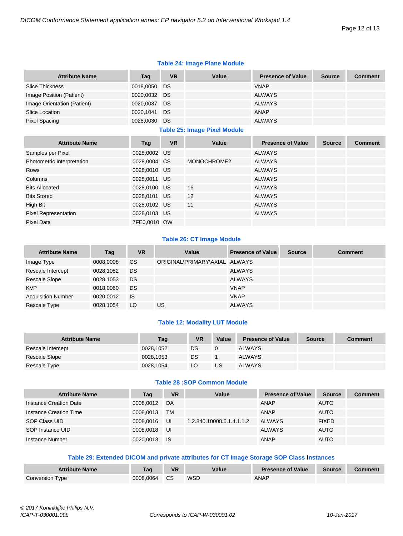# **Table 24: Image Plane Module**

| <b>Attribute Name</b>       | Tag          | <b>VR</b> | Value | <b>Presence of Value</b> | <b>Source</b> | <b>Comment</b> |
|-----------------------------|--------------|-----------|-------|--------------------------|---------------|----------------|
| <b>Slice Thickness</b>      | 0018,0050    | DS        |       | <b>VNAP</b>              |               |                |
| Image Position (Patient)    | 0020,0032 DS |           |       | <b>ALWAYS</b>            |               |                |
| Image Orientation (Patient) | 0020,0037 DS |           |       | ALWAYS                   |               |                |
| Slice Location              | 0020,1041 DS |           |       | <b>ANAP</b>              |               |                |
| Pixel Spacing               | 0028,0030    | DS        |       | <b>ALWAYS</b>            |               |                |

#### **Table 25: Image Pixel Module**

| <b>Attribute Name</b>       | Tag          | <b>VR</b> | Value       | <b>Presence of Value</b> | <b>Source</b> | <b>Comment</b> |
|-----------------------------|--------------|-----------|-------------|--------------------------|---------------|----------------|
| Samples per Pixel           | 0028,0002 US |           |             | ALWAYS                   |               |                |
| Photometric Interpretation  | 0028,0004 CS |           | MONOCHROME2 | ALWAYS                   |               |                |
| <b>Rows</b>                 | 0028,0010 US |           |             | <b>ALWAYS</b>            |               |                |
| Columns                     | 0028,0011 US |           |             | <b>ALWAYS</b>            |               |                |
| <b>Bits Allocated</b>       | 0028,0100 US |           | 16          | <b>ALWAYS</b>            |               |                |
| <b>Bits Stored</b>          | 0028,0101 US |           | 12          | <b>ALWAYS</b>            |               |                |
| High Bit                    | 0028,0102 US |           | 11          | <b>ALWAYS</b>            |               |                |
| <b>Pixel Representation</b> | 0028,0103 US |           |             | <b>ALWAYS</b>            |               |                |
| Pixel Data                  | 7FE0,0010 OW |           |             |                          |               |                |

# **Table 26: CT Image Module**

| <b>Attribute Name</b>     | Tag       | VR        | Value                         | <b>Presence of Value</b> | <b>Source</b> | <b>Comment</b> |
|---------------------------|-----------|-----------|-------------------------------|--------------------------|---------------|----------------|
| Image Type                | 0008,0008 | CS        | ORIGINAL\PRIMARY\AXIAL ALWAYS |                          |               |                |
| Rescale Intercept         | 0028,1052 | DS        |                               | <b>ALWAYS</b>            |               |                |
| Rescale Slope             | 0028,1053 | DS        |                               | <b>ALWAYS</b>            |               |                |
| <b>KVP</b>                | 0018,0060 | DS        |                               | <b>VNAP</b>              |               |                |
| <b>Acquisition Number</b> | 0020,0012 | <b>IS</b> |                               | <b>VNAP</b>              |               |                |
| Rescale Type              | 0028,1054 | LO        | US                            | <b>ALWAYS</b>            |               |                |

#### **Table 12: Modality LUT Module**

| <b>Attribute Name</b> | Taq       | <b>VR</b> | Value | <b>Presence of Value</b> | <b>Source</b> | <b>Comment</b> |
|-----------------------|-----------|-----------|-------|--------------------------|---------------|----------------|
| Rescale Intercept     | 0028.1052 | DS        |       | <b>ALWAYS</b>            |               |                |
| Rescale Slope         | 0028.1053 | <b>DS</b> |       | <b>ALWAYS</b>            |               |                |
| Rescale Type          | 0028,1054 | LO        | US    | <b>ALWAYS</b>            |               |                |

# **Table 28 :SOP Common Module**

| <b>Attribute Name</b>  | Tag       | <b>VR</b> | Value                     | <b>Presence of Value</b> | <b>Source</b> | <b>Comment</b> |
|------------------------|-----------|-----------|---------------------------|--------------------------|---------------|----------------|
| Instance Creation Date | 0008,0012 | DA        |                           | ANAP                     | <b>AUTO</b>   |                |
| Instance Creation Time | 0008.0013 | <b>TM</b> |                           | <b>ANAP</b>              | <b>AUTO</b>   |                |
| SOP Class UID          | 0008.0016 | UI        | 1.2.840.10008.5.1.4.1.1.2 | ALWAYS                   | <b>FIXED</b>  |                |
| SOP Instance UID       | 0008,0018 | UI        |                           | <b>ALWAYS</b>            | <b>AUTO</b>   |                |
| Instance Number        | 0020,0013 | - IS      |                           | <b>ANAP</b>              | <b>AUTO</b>   |                |

# **Table 29: Extended DICOM and private attributes for CT Image Storage SOP Class Instances**

| <b>Attribute Name</b> | Taq          | VR | Value      | Presence of Value | <b>Source</b> | <b>Comment</b> |
|-----------------------|--------------|----|------------|-------------------|---------------|----------------|
| Conversion Type       | 0008.0064 CS |    | <b>WSD</b> | ANAP              |               |                |